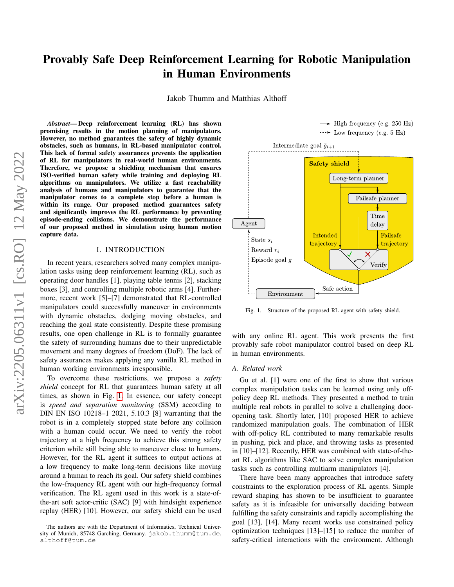# Provably Safe Deep Reinforcement Learning for Robotic Manipulation in Human Environments

Jakob Thumm and Matthias Althoff

*Abstract*— Deep reinforcement learning (RL) has shown promising results in the motion planning of manipulators. However, no method guarantees the safety of highly dynamic obstacles, such as humans, in RL-based manipulator control. This lack of formal safety assurances prevents the application of RL for manipulators in real-world human environments. Therefore, we propose a shielding mechanism that ensures ISO-verified human safety while training and deploying RL algorithms on manipulators. We utilize a fast reachability analysis of humans and manipulators to guarantee that the manipulator comes to a complete stop before a human is within its range. Our proposed method guarantees safety and significantly improves the RL performance by preventing episode-ending collisions. We demonstrate the performance of our proposed method in simulation using human motion capture data.

# I. INTRODUCTION

In recent years, researchers solved many complex manipulation tasks using deep reinforcement learning (RL), such as operating door handles [1], playing table tennis [2], stacking boxes [3], and controlling multiple robotic arms [4]. Furthermore, recent work [5]–[7] demonstrated that RL-controlled manipulators could successfully maneuver in environments with dynamic obstacles, dodging moving obstacles, and reaching the goal state consistently. Despite these promising results, one open challenge in RL is to formally guarantee the safety of surrounding humans due to their unpredictable movement and many degrees of freedom (DoF). The lack of safety assurances makes applying any vanilla RL method in human working environments irresponsible.

To overcome these restrictions, we propose a *safety shield* concept for RL that guarantees human safety at all times, as shown in Fig. [1.](#page-0-0) In essence, our safety concept is *speed and separation monitoring* (SSM) according to DIN EN ISO 10218–1 2021, 5.10.3 [8] warranting that the robot is in a completely stopped state before any collision with a human could occur. We need to verify the robot trajectory at a high frequency to achieve this strong safety criterion while still being able to maneuver close to humans. However, for the RL agent it suffices to output actions at a low frequency to make long-term decisions like moving around a human to reach its goal. Our safety shield combines the low-frequency RL agent with our high-frequency formal verification. The RL agent used in this work is a state-ofthe-art soft actor-critic (SAC) [9] with hindsight experience replay (HER) [10]. However, our safety shield can be used



<span id="page-0-0"></span>Fig. 1. Structure of the proposed RL agent with safety shield.

with any online RL agent. This work presents the first provably safe robot manipulator control based on deep RL in human environments.

#### *A. Related work*

Gu et al. [1] were one of the first to show that various complex manipulation tasks can be learned using only offpolicy deep RL methods. They presented a method to train multiple real robots in parallel to solve a challenging dooropening task. Shortly later, [10] proposed HER to achieve randomized manipulation goals. The combination of HER with off-policy RL contributed to many remarkable results in pushing, pick and place, and throwing tasks as presented in [10]–[12]. Recently, HER was combined with state-of-theart RL algorithms like SAC to solve complex manipulation tasks such as controlling multiarm manipulators [4].

There have been many approaches that introduce safety constraints to the exploration process of RL agents. Simple reward shaping has shown to be insufficient to guarantee safety as it is infeasible for universally deciding between fulfilling the safety constraints and rapidly accomplishing the goal [13], [14]. Many recent works use constrained policy optimization techniques [13]–[15] to reduce the number of safety-critical interactions with the environment. Although

The authors are with the Department of Informatics, Technical University of Munich, 85748 Garching, Germany. jakob.thumm@tum.de, althoff@tum.de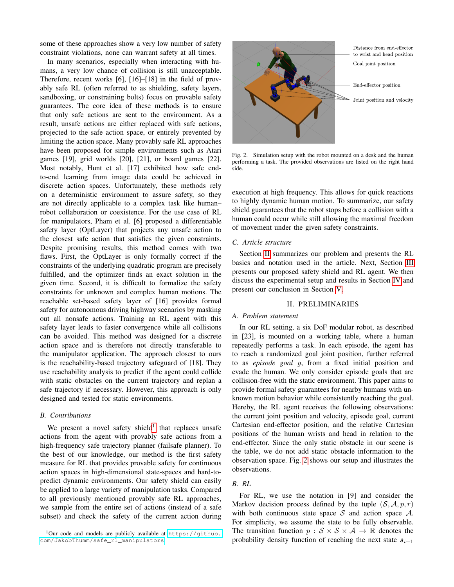some of these approaches show a very low number of safety constraint violations, none can warrant safety at all times.

In many scenarios, especially when interacting with humans, a very low chance of collision is still unacceptable. Therefore, recent works [6], [16]–[18] in the field of provably safe RL (often referred to as shielding, safety layers, sandboxing, or constraining bolts) focus on provable safety guarantees. The core idea of these methods is to ensure that only safe actions are sent to the environment. As a result, unsafe actions are either replaced with safe actions, projected to the safe action space, or entirely prevented by limiting the action space. Many provably safe RL approaches have been proposed for simple environments such as Atari games [19], grid worlds [20], [21], or board games [22]. Most notably, Hunt et al. [17] exhibited how safe endto-end learning from image data could be achieved in discrete action spaces. Unfortunately, these methods rely on a deterministic environment to assure safety, so they are not directly applicable to a complex task like human– robot collaboration or coexistence. For the use case of RL for manipulators, Pham et al. [6] proposed a differentiable safety layer (OptLayer) that projects any unsafe action to the closest safe action that satisfies the given constraints. Despite promising results, this method comes with two flaws. First, the OptLayer is only formally correct if the constraints of the underlying quadratic program are precisely fulfilled, and the optimizer finds an exact solution in the given time. Second, it is difficult to formalize the safety constraints for unknown and complex human motions. The reachable set-based safety layer of [16] provides formal safety for autonomous driving highway scenarios by masking out all nonsafe actions. Training an RL agent with this safety layer leads to faster convergence while all collisions can be avoided. This method was designed for a discrete action space and is therefore not directly transferable to the manipulator application. The approach closest to ours is the reachability-based trajectory safeguard of [18]. They use reachability analysis to predict if the agent could collide with static obstacles on the current trajectory and replan a safe trajectory if necessary. However, this approach is only designed and tested for static environments.

# *B. Contributions*

We present a novel safety shield<sup>[1](#page-1-0)</sup> that replaces unsafe actions from the agent with provably safe actions from a high-frequency safe trajectory planner (failsafe planner). To the best of our knowledge, our method is the first safety measure for RL that provides provable safety for continuous action spaces in high-dimensional state-spaces and hard-topredict dynamic environments. Our safety shield can easily be applied to a large variety of manipulation tasks. Compared to all previously mentioned provably safe RL approaches, we sample from the entire set of actions (instead of a safe subset) and check the safety of the current action during



Fig. 2. Simulation setup with the robot mounted on a desk and the human performing a task. The provided observations are listed on the right hand side.

<span id="page-1-2"></span>execution at high frequency. This allows for quick reactions to highly dynamic human motion. To summarize, our safety shield guarantees that the robot stops before a collision with a human could occur while still allowing the maximal freedom of movement under the given safety constraints.

# *C. Article structure*

Section [II](#page-1-1) summarizes our problem and presents the RL basics and notation used in the article. Next, Section [III](#page-2-0) presents our proposed safety shield and RL agent. We then discuss the experimental setup and results in Section [IV](#page-4-0) and present our conclusion in Section [V.](#page-5-0)

# II. PRELIMINARIES

#### <span id="page-1-1"></span>*A. Problem statement*

In our RL setting, a six DoF modular robot, as described in [23], is mounted on a working table, where a human repeatedly performs a task. In each episode, the agent has to reach a randomized goal joint position, further referred to as *episode goal* g, from a fixed initial position and evade the human. We only consider episode goals that are collision-free with the static environment. This paper aims to provide formal safety guarantees for nearby humans with unknown motion behavior while consistently reaching the goal. Hereby, the RL agent receives the following observations: the current joint position and velocity, episode goal, current Cartesian end-effector position, and the relative Cartesian positions of the human wrists and head in relation to the end-effector. Since the only static obstacle in our scene is the table, we do not add static obstacle information to the observation space. Fig. [2](#page-1-2) shows our setup and illustrates the observations.

# *B. RL*

For RL, we use the notation in [9] and consider the Markov decision process defined by the tuple  $(S, \mathcal{A}, p, r)$ with both continuous state space  $S$  and action space  $A$ . For simplicity, we assume the state to be fully observable. The transition function  $p : S \times S \times A \rightarrow \mathbb{R}$  denotes the probability density function of reaching the next state  $s_{i+1}$ 

<span id="page-1-0"></span> $1$ Our code and models are publicly available at [https://github.](https://github.com/JakobThumm/safe_rl_manipulators) [com/JakobThumm/safe\\_rl\\_manipulators](https://github.com/JakobThumm/safe_rl_manipulators).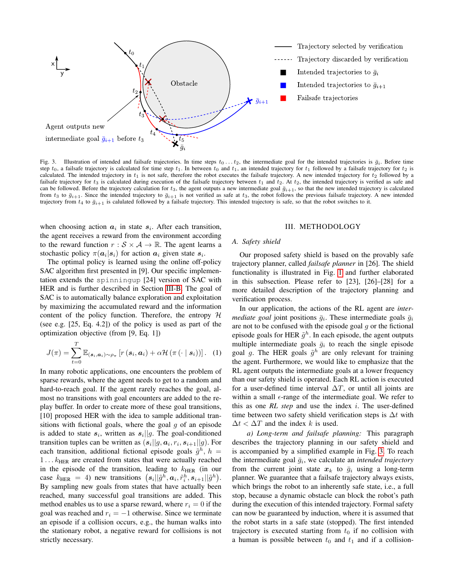

<span id="page-2-1"></span>Fig. 3. Illustration of intended and failsafe trajectories. In time steps  $t_0 \ldots t_2$ , the intermediate goal for the intended trajectories is  $\bar{g}_i$ . Before time step  $t_0$ , a failsafe trajectory is calculated for time step  $t_1$ . In between  $t_0$  and  $t_1$ , an intended trajectory for  $t_1$  followed by a failsafe trajectory for  $t_2$  is calculated. The intended trajectory in  $t_1$  is not safe, therefore the robot executes the failsafe trajectory. A new intended trajectory for  $t_2$  followed by a failsafe trajectory for  $t_3$  is calculated during execution of the failsafe trajectory between  $t_1$  and  $t_2$ . At  $t_2$ , the intended trajectory is verified as safe and can be followed. Before the trajectory calculation for  $t_3$ , the agent outputs a new intermediate goal  $\bar{g}_{i+1}$ , so that the new intended trajectory is calculated from  $t_3$  to  $\bar{g}_{i+1}$ . Since the intended trajectory to  $\bar{g}_{i+1}$  is not verified as safe at  $t_3$ , the robot follows the previous failsafe trajectory. A new intended trajectory from  $t_4$  to  $\bar{g}_{i+1}$  is calulated followed by a failsafe trajectory. This intended trajectory is safe, so that the robot switches to it.

when choosing action  $a_i$  in state  $s_i$ . After each transition, the agent receives a reward from the environment according to the reward function  $r : S \times A \rightarrow \mathbb{R}$ . The agent learns a stochastic policy  $\pi(a_i|s_i)$  for action  $a_i$  given state  $s_i$ .

The optimal policy is learned using the online off-policy SAC algorithm first presented in [9]. Our specific implementation extends the spinningup [24] version of SAC with HER and is further described in Section [III-B.](#page-3-0) The goal of SAC is to automatically balance exploration and exploitation by maximizing the accumulated reward and the information content of the policy function. Therefore, the entropy  $H$ (see e.g. [25, Eq. 4.2]) of the policy is used as part of the optimization objective (from [9, Eq. 1])

$$
J(\pi) = \sum_{t=0}^{T} \mathbb{E}_{(\mathbf{s}_i, \mathbf{a}_i) \sim \rho_{\pi}} \left[ r(\mathbf{s}_i, \mathbf{a}_i) + \alpha \mathcal{H}(\pi(\cdot \mid \mathbf{s}_i)) \right]. \tag{1}
$$

In many robotic applications, one encounters the problem of sparse rewards, where the agent needs to get to a random and hard-to-reach goal. If the agent rarely reaches the goal, almost no transitions with goal encounters are added to the replay buffer. In order to create more of these goal transitions, [10] proposed HER with the idea to sample additional transitions with fictional goals, where the goal  $g$  of an episode is added to state  $s_i$ , written as  $s_i||g$ . The goal-conditioned transition tuples can be written as  $(s_i||g, a_i, r_i, s_{i+1}||g)$ . For each transition, additional fictional episode goals  $\tilde{g}^h$ ,  $h =$ 1...  $k_{\text{HER}}$  are created from states that were actually reached in the episode of the transition, leading to  $k_{\text{HER}}$  (in our case  $k_{\text{HER}} = 4$ ) new transitions  $(s_i || \tilde{g}^h, a_i, \tilde{r}_i^h, s_{i+1} || \tilde{g}^h)$ . By sampling new goals from states that have actually been reached, many successful goal transitions are added. This method enables us to use a sparse reward, where  $r_i = 0$  if the goal was reached and  $r_i = -1$  otherwise. Since we terminate an episode if a collision occurs, e.g., the human walks into the stationary robot, a negative reward for collisions is not strictly necessary.

#### III. METHODOLOGY

#### <span id="page-2-0"></span>*A. Safety shield*

Our proposed safety shield is based on the provably safe trajectory planner, called *failsafe planner* in [26]. The shield functionality is illustrated in Fig. [1](#page-0-0) and further elaborated in this subsection. Please refer to [23], [26]–[28] for a more detailed description of the trajectory planning and verification process.

In our application, the actions of the RL agent are *intermediate goal* joint positions  $\bar{g}_i$ . These intermediate goals  $\bar{g}_i$ are not to be confused with the episode goal  $g$  or the fictional episode goals for HER  $\tilde{g}^h$ . In each episode, the agent outputs multiple intermediate goals  $\bar{g}_i$  to reach the single episode goal g. The HER goals  $\tilde{g}^h$  are only relevant for training the agent. Furthermore, we would like to emphasize that the RL agent outputs the intermediate goals at a lower frequency than our safety shield is operated. Each RL action is executed for a user-defined time interval  $\Delta T$ , or until all joints are within a small  $\epsilon$ -range of the intermediate goal. We refer to this as one *RL step* and use the index i. The user-defined time between two safety shield verification steps is  $\Delta t$  with  $\Delta t < \Delta T$  and the index k is used.

*a) Long-term and failsafe planning:* This paragraph describes the trajectory planning in our safety shield and is accompanied by a simplified example in Fig. [3.](#page-2-1) To reach the intermediate goal  $\bar{g}_i$ , we calculate an *intended trajectory* from the current joint state  $x_k$  to  $\bar{g}_i$  using a long-term planner. We guarantee that a failsafe trajectory always exists, which brings the robot to an inherently safe state, i.e., a full stop, because a dynamic obstacle can block the robot's path during the execution of this intended trajectory. Formal safety can now be guaranteed by induction, where it is assumed that the robot starts in a safe state (stopped). The first intended trajectory is executed starting from  $t_0$  if no collision with a human is possible between  $t_0$  and  $t_1$  and if a collision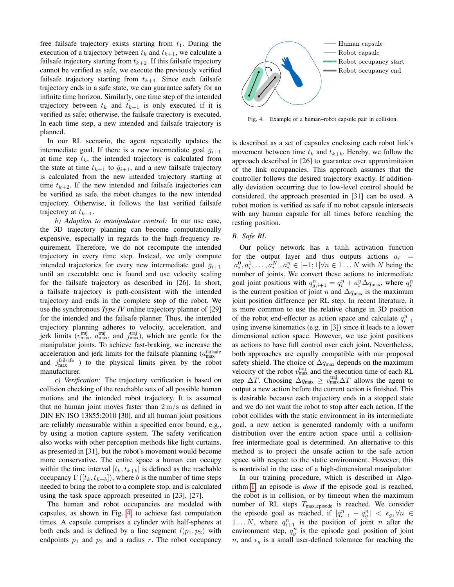free failsafe trajectory exists starting from  $t_1$ . During the execution of a trajectory between  $t_k$  and  $t_{k+1}$ , we calculate a failsafe trajectory starting from  $t_{k+2}$ . If this failsafe trajectory cannot be verified as safe, we execute the previously verified failsafe trajectory starting from  $t_{k+1}$ . Since each failsafe trajectory ends in a safe state, we can guarantee safety for an infinite time horizon. Similarly, one time step of the intended trajectory between  $t_k$  and  $t_{k+1}$  is only executed if it is verified as safe; otherwise, the failsafe trajectory is executed. In each time step, a new intended and failsafe trajectory is planned.

In our RL scenario, the agent repeatedly updates the intermediate goal. If there is a new intermediate goal  $\bar{g}_{i+1}$ at time step  $t_k$ , the intended trajectory is calculated from the state at time  $t_{k+1}$  to  $\bar{g}_{i+1}$ , and a new failsafe trajectory is calculated from the new intended trajectory starting at time  $t_{k+2}$ . If the new intended and failsafe trajectories can be verified as safe, the robot changes to the new intended trajectory. Otherwise, it follows the last verified failsafe trajectory at  $t_{k+1}$ .

*b) Adaption to manipulator control:* In our use case, the 3D trajectory planning can become computationally expensive, especially in regards to the high-frequency requirement. Therefore, we do not recompute the intended trajectory in every time step. Instead, we only compute intended trajectories for every new intermediate goal  $\bar{g}_{i+1}$ until an executable one is found and use velocity scaling for the failsafe trajectory as described in [26]. In short, a failsafe trajectory is path-consistent with the intended trajectory and ends in the complete stop of the robot. We use the synchronous *Type IV* online trajectory planner of [29] for the intended and the failsafe planner. Thus, the intended trajectory planning adheres to velocity, acceleration, and jerk limits  $(v_{\text{max}}^{\text{traj}}, \bar{a}_{\text{max}}^{\text{traj}}, \text{ and } j_{\text{max}}^{\text{traj}})$ , which are gentle for the manipulator joints. To achieve fast-braking, we increase the acceleration and jerk limits for the failsafe planning  $(a_{\text{max}}^{\text{failsafe}})$ and  $j_{\text{max}}^{\text{failsafe}}$  ) to the physical limits given by the robot manufacturer.

*c) Verification:* The trajectory verification is based on collision checking of the reachable sets of all possible human motions and the intended robot trajectory. It is assumed that no human joint moves faster than  $2 \text{ m/s}$  as defined in DIN EN ISO 13855:2010 [30], and all human joint positions are reliably measurable within a specified error bound, e.g., by using a motion capture system. The safety verification also works with other perception methods like light curtains, as presented in [31], but the robot's movement would become more conservative. The entire space a human can occupy within the time interval  $[t_k, t_{k+b}]$  is defined as the reachable occupancy Γ ([ $t_k, t_{k+b}$ ]), where b is the number of time steps needed to bring the robot to a complete stop, and is calculated using the task space approach presented in [23], [27].

The human and robot occupancies are modeled with capsules, as shown in Fig. [4,](#page-3-1) to achieve fast computation times. A capsule comprises a cylinder with half-spheres at both ends and is defined by a line segment  $l(p_1, p_2)$  with endpoints  $p_1$  and  $p_2$  and a radius r. The robot occupancy



<span id="page-3-1"></span>Fig. 4. Example of a human–robot capsule pair in collision.

is described as a set of capsules enclosing each robot link's movement between time  $t_k$  and  $t_{k+b}$ . Hereby, we follow the approach described in [26] to guarantee over approximitaion of the link occupancies. This approach assumes that the controller follows the desired trajectory exactly. If additionally deviation occurring due to low-level control should be considered, the approach presented in [31] can be used. A robot motion is verified as safe if no robot capsule intersects with any human capsule for all times before reaching the resting position.

#### <span id="page-3-0"></span>*B. Safe RL*

Our policy network has a tanh activation function for the output layer and thus outputs actions  $a_i$  =  $[a_i^0, a_i^1, \dots, a_i^N], a_i^n \in [-1, 1] \forall n \in 1 \dots N$  with N being the number of joints. We convert these actions to intermediate goal joint positions with  $q_{\bar{g},i+1}^n = q_i^n + a_i^n \Delta q_{\text{max}}$ , where  $q_i^n$ is the current position of joint n and  $\Delta q_{\text{max}}$  is the maximum joint position difference per RL step. In recent literature, it is more common to use the relative change in 3D position of the robot end-effector as action space and calculate  $q_{i+1}^n$ using inverse kinematics (e.g. in [3]) since it leads to a lower dimensional action space. However, we use joint positions as actions to have full control over each joint. Nevertheless, both approaches are equally compatible with our proposed safety shield. The choice of  $\Delta q_{\text{max}}$  depends on the maximum velocity of the robot  $v_{\text{max}}^{\text{traj}}$  and the execution time of each RL step  $\Delta T$ . Choosing  $\Delta q_{\text{max}} \geq v_{\text{max}}^{\text{traj}} \Delta T$  allows the agent to output a new action before the current action is finished. This is desirable because each trajectory ends in a stopped state and we do not want the robot to stop after each action. If the robot collides with the static environment in its intermediate goal, a new action is generated randomly with a uniform distribution over the entire action space until a collisionfree intermediate goal is determined. An alternative to this method is to project the unsafe action to the safe action space with respect to the static environment. However, this is nontrivial in the case of a high-dimensional manipulator.

In our training procedure, which is described in Algorithm [1,](#page-4-1) an episode is *done* if the episode goal is reached, the robot is in collision, or by timeout when the maximum number of RL steps  $T_{\text{max\_episode}}$  is reached. We consider the episode goal as reached, if  $|q_{i+1}^n - q_g^n| < \epsilon_g, \forall n \in$ 1... N, where  $q_{i+1}^n$  is the position of joint n after the environment step,  $q_g^n$  is the episode goal position of joint n, and  $\epsilon_q$  is a small user-defined tolerance for reaching the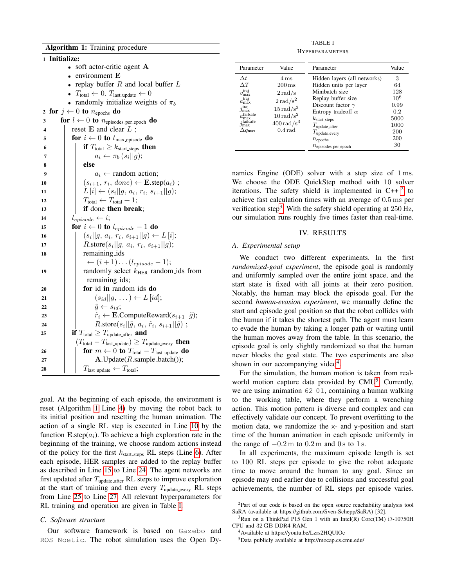<span id="page-4-4"></span><span id="page-4-3"></span><span id="page-4-2"></span>

|    | 1 Initialize:                                                                                                                         |  |  |  |  |  |
|----|---------------------------------------------------------------------------------------------------------------------------------------|--|--|--|--|--|
|    | soft actor-critic agent A                                                                                                             |  |  |  |  |  |
|    | environment E                                                                                                                         |  |  |  |  |  |
|    | replay buffer $R$ and local buffer $L$                                                                                                |  |  |  |  |  |
|    | $T_{\text{total}} \leftarrow 0, T_{\text{last\_update}} \leftarrow 0$                                                                 |  |  |  |  |  |
|    | randomly initialize weights of $\pi_b$                                                                                                |  |  |  |  |  |
| 2  | for $j \leftarrow 0$ to $n_{\text{epochs}}$ do                                                                                        |  |  |  |  |  |
| 3  | for $l \leftarrow 0$ to $n_{\text{episodes\_per\_epoch}}$ do                                                                          |  |  |  |  |  |
| 4  | reset $E$ and clear $L$ ;                                                                                                             |  |  |  |  |  |
| 5  | for $i \leftarrow 0$ to $t_{\text{max\_episode}}$ do                                                                                  |  |  |  |  |  |
| 6  | <b>if</b> $T_{\text{total}} \geq k_{\text{start\_steps}}$ then                                                                        |  |  |  |  |  |
| 7  | $a_i \leftarrow \pi_b(s_i  g);$                                                                                                       |  |  |  |  |  |
| 8  | else                                                                                                                                  |  |  |  |  |  |
| 9  | $a_i \leftarrow$ random action;                                                                                                       |  |  |  |  |  |
| 10 | $(s_{i+1}, r_i, done) \leftarrow \mathbf{E}.\mathsf{step}(a_i);$                                                                      |  |  |  |  |  |
| 11 | $L[i] \leftarrow (s_i  g, a_i, r_i, s_{i+1}  g);$                                                                                     |  |  |  |  |  |
| 12 | $T_{\text{total}} \leftarrow T_{\text{total}} + 1;$                                                                                   |  |  |  |  |  |
| 13 | if done then break;                                                                                                                   |  |  |  |  |  |
| 14 | $l_{episode} \leftarrow i;$                                                                                                           |  |  |  |  |  |
| 15 | for $i \leftarrow 0$ to $l_{episode} - 1$ do                                                                                          |  |  |  |  |  |
| 16 | $(s_i  g, a_i, r_i, s_{i+1}  g) \leftarrow L[i];$                                                                                     |  |  |  |  |  |
| 17 | <i>R</i> .store $(s_i  g, a_i, r_i, s_{i+1}  g);$                                                                                     |  |  |  |  |  |
| 18 | remaining_ids                                                                                                                         |  |  |  |  |  |
|    | $\leftarrow (i+1)\dots (l_{episode}-1);$                                                                                              |  |  |  |  |  |
| 19 | randomly select $k_{\text{HER}}$ random ids from                                                                                      |  |  |  |  |  |
|    | remaining_ids;                                                                                                                        |  |  |  |  |  |
| 20 | for id in random ids do                                                                                                               |  |  |  |  |  |
| 21 | $(s_{id}  g, \ldots) \leftarrow L [id];$                                                                                              |  |  |  |  |  |
| 22 | $\tilde{g} \leftarrow s_{id};$<br>$\tilde{r}_i \leftarrow \textbf{E}$ . Compute Reward $(s_{i+1}  \tilde{g})$ ;                       |  |  |  |  |  |
| 23 | $R.\text{store}(s_i  \tilde{g}, a_i, \tilde{r}_i, s_{i+1}  \tilde{g})$ ;                                                              |  |  |  |  |  |
| 24 |                                                                                                                                       |  |  |  |  |  |
| 25 | <b>if</b> $T_{\text{total}} \geq T_{\text{update} \_ \text{after}}$ and                                                               |  |  |  |  |  |
| 26 | $(T_{total} - T_{last.update}) \geq T_{update.every}$ then<br>for $m \leftarrow 0$ to $T_{\text{total}} - T_{\text{last\_update}}$ do |  |  |  |  |  |
| 27 | $A.Update(R.sample_batch());$                                                                                                         |  |  |  |  |  |
| 28 | $T_{\text{last\_update}} \leftarrow T_{\text{total}};$                                                                                |  |  |  |  |  |
|    |                                                                                                                                       |  |  |  |  |  |

<span id="page-4-8"></span><span id="page-4-7"></span><span id="page-4-6"></span><span id="page-4-1"></span>goal. At the beginning of each episode, the environment is reset (Algorithm [1](#page-4-1) Line [4\)](#page-4-2) by moving the robot back to its initial position and resetting the human animation. The action of a single RL step is executed in Line [10](#page-4-3) by the function  $\mathbf{E}.\text{step}(a_i)$ . To achieve a high exploration rate in the beginning of the training, we choose random actions instead of the policy for the first  $k_{\text{start\_\text{steps}}}$  RL steps (Line [6\)](#page-4-4). After each episode, HER samples are added to the replay buffer as described in Line [15](#page-4-5) to Line [24.](#page-4-6) The agent networks are first updated after  $T_{\text{update}.\text{after}}$  RL steps to improve exploration at the start of training and then every  $T_{\text{update\_every}}$  RL steps from Line [25](#page-4-7) to Line [27.](#page-4-8) All relevant hyperparameters for RL training and operation are given in Table [I.](#page-4-9)

### *C. Software structure*

Our software framework is based on Gazebo and ROS Noetic. The robot simulation uses the Open Dy-

TABLE I

| <b>HYPERPARAMETERS</b> |
|------------------------|
|                        |

<span id="page-4-9"></span>

| Parameter                          | Value                    | Parameter                         | Value    |
|------------------------------------|--------------------------|-----------------------------------|----------|
| $\Delta t$                         | $4 \,\mathrm{ms}$        | Hidden layers (all networks)      | 3        |
| $\wedge T$                         | $200 \,\mathrm{ms}$      | Hidden units per layer            | 64       |
| traj<br>$v_{\text{max}}$           | $2 \text{ rad/s}$        | Minibatch size                    | 128      |
| traj                               | $2 \text{ rad/s}^2$      | Replay buffer size                | $10^{6}$ |
| $a_{\rm max}$<br>traj.             |                          | Discount factor $\gamma$          | 0.99     |
| J <sub>max</sub>                   | $15 \,\mathrm{rad/s^3}$  | Entropy tradeoff $\alpha$         | 0.2      |
| $a_{\text{max}}^{\text{failsafe}}$ | $10 \,\mathrm{rad/s^2}$  | $k_{\text{start\_steps}}$         | 5000     |
| $j_{\rm max}^{\rm failsafe}$       | $400 \,\mathrm{rad/s^3}$ | $T_{\text{update}\_\text{after}}$ | 1000     |
| $\Delta q_{\rm max}$               | $0.4 \text{ rad}$        | $T_{\text{update\_every}}$        | 200      |
|                                    |                          | $n_{\rm epochs}$                  | 200      |
|                                    |                          | $n_{episodes\_per\_epoch}$        | 30       |

namics Engine (ODE) solver with a step size of  $1 \text{ ms}$ . We choose the ODE QuickStep method with 10 solver iterations. The safety shield is implemented in  $C++^2$  $C++^2$  to achieve fast calculation times with an average of 0.5 ms per verification step<sup>[3](#page-4-11)</sup>. With the safety shield operating at  $250 \text{ Hz}$ , our simulation runs roughly five times faster than real-time.

## IV. RESULTS

### <span id="page-4-5"></span><span id="page-4-0"></span>*A. Experimental setup*

We conduct two different experiments. In the first *randomized-goal experiment*, the episode goal is randomly and uniformly sampled over the entire joint space, and the start state is fixed with all joints at their zero position. Notably, the human may block the episode goal. For the second *human-evasion experiment*, we manually define the start and episode goal position so that the robot collides with the human if it takes the shortest path. The agent must learn to evade the human by taking a longer path or waiting until the human moves away from the table. In this scenario, the episode goal is only slightly randomized so that the human never blocks the goal state. The two experiments are also shown in our accompanying video<sup>[4](#page-4-12)</sup>.

For the simulation, the human motion is taken from real-world motion capture data provided by CMU<sup>[5](#page-4-13)</sup>. Currently, we are using animation  $62.01$ , containing a human walking to the working table, where they perform a wrenching action. This motion pattern is diverse and complex and can effectively validate our concept. To prevent overfitting to the motion data, we randomize the x- and y-position and start time of the human animation in each episode uniformly in the range of  $-0.2 \text{ m}$  to  $0.2 \text{ m}$  and  $0 \text{ s}$  to  $1 \text{ s}$ .

In all experiments, the maximum episode length is set to 100 RL steps per episode to give the robot adequate time to move around the human to any goal. Since an episode may end earlier due to collisions and successful goal achievements, the number of RL steps per episode varies.

<span id="page-4-10"></span><sup>2</sup>Part of our code is based on the open source reachability analysis tool SaRA (available at https://github.com/Sven-Schepp/SaRA) [32].

<span id="page-4-11"></span> $3$ Run on a ThinkPad P15 Gen 1 with an Intel(R) Core(TM) i7-10750H CPU and 32 GB DDR4 RAM.

<span id="page-4-12"></span><sup>4</sup>Available at https://youtu.be/Lzrs2HQUIOc

<span id="page-4-13"></span><sup>5</sup>Data publicly available at http://mocap.cs.cmu.edu/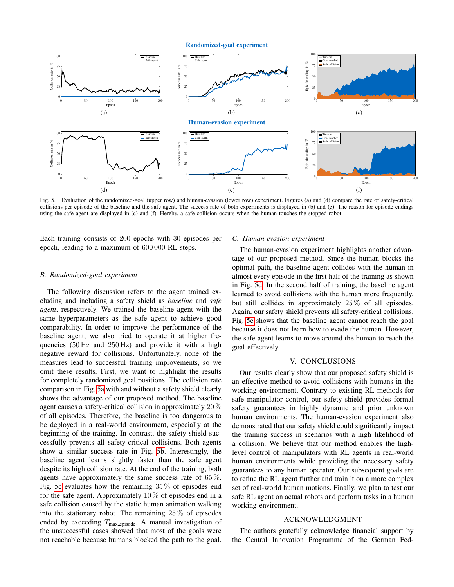<span id="page-5-3"></span><span id="page-5-2"></span>Randomized-goal experiment

<span id="page-5-1"></span>

<span id="page-5-4"></span>Fig. 5. Evaluation of the randomized-goal (upper row) and human-evasion (lower row) experiment. Figures (a) and (d) compare the rate of safety-critical collisions per episode of the baseline and the safe agent. The success rate of both experiments is displayed in (b) and (e). The reason for episode endings using the safe agent are displayed in (c) and (f). Hereby, a safe collision occurs when the human touches the stopped robot.

Each training consists of 200 epochs with 30 episodes per epoch, leading to a maximum of 600 000 RL steps.

#### *B. Randomized-goal experiment*

The following discussion refers to the agent trained excluding and including a safety shield as *baseline* and *safe agent*, respectively. We trained the baseline agent with the same hyperparameters as the safe agent to achieve good comparability. In order to improve the performance of the baseline agent, we also tried to operate it at higher frequencies (50 Hz and 250 Hz) and provide it with a high negative reward for collisions. Unfortunately, none of the measures lead to successful training improvements, so we omit these results. First, we want to highlight the results for completely randomized goal positions. The collision rate comparison in Fig. [5a](#page-5-1) with and without a safety shield clearly shows the advantage of our proposed method. The baseline agent causes a safety-critical collision in approximately 20 % of all episodes. Therefore, the baseline is too dangerous to be deployed in a real-world environment, especially at the beginning of the training. In contrast, the safety shield successfully prevents all safety-critical collisions. Both agents show a similar success rate in Fig. [5b.](#page-5-2) Interestingly, the baseline agent learns slightly faster than the safe agent despite its high collision rate. At the end of the training, both agents have approximately the same success rate of 65 %. Fig. [5c](#page-5-3) evaluates how the remaining 35 % of episodes end for the safe agent. Approximately  $10\%$  of episodes end in a safe collision caused by the static human animation walking into the stationary robot. The remaining 25 % of episodes ended by exceeding  $T_{\text{max}}$ <sub>episode</sub>. A manual investigation of the unsuccessful cases showed that most of the goals were not reachable because humans blocked the path to the goal.

#### <span id="page-5-5"></span>*C. Human-evasion experiment*

The human-evasion experiment highlights another advantage of our proposed method. Since the human blocks the optimal path, the baseline agent collides with the human in almost every episode in the first half of the training as shown in Fig. [5d.](#page-5-4) In the second half of training, the baseline agent learned to avoid collisions with the human more frequently, but still collides in approximately 25 % of all episodes. Again, our safety shield prevents all safety-critical collisions. Fig. [5e](#page-5-5) shows that the baseline agent cannot reach the goal because it does not learn how to evade the human. However, the safe agent learns to move around the human to reach the goal effectively.

# V. CONCLUSIONS

<span id="page-5-0"></span>Our results clearly show that our proposed safety shield is an effective method to avoid collisions with humans in the working environment. Contrary to existing RL methods for safe manipulator control, our safety shield provides formal safety guarantees in highly dynamic and prior unknown human environments. The human-evasion experiment also demonstrated that our safety shield could significantly impact the training success in scenarios with a high likelihood of a collision. We believe that our method enables the highlevel control of manipulators with RL agents in real-world human environments while providing the necessary safety guarantees to any human operator. Our subsequent goals are to refine the RL agent further and train it on a more complex set of real-world human motions. Finally, we plan to test our safe RL agent on actual robots and perform tasks in a human working environment.

# ACKNOWLEDGMENT

The authors gratefully acknowledge financial support by the Central Innovation Programme of the German Fed